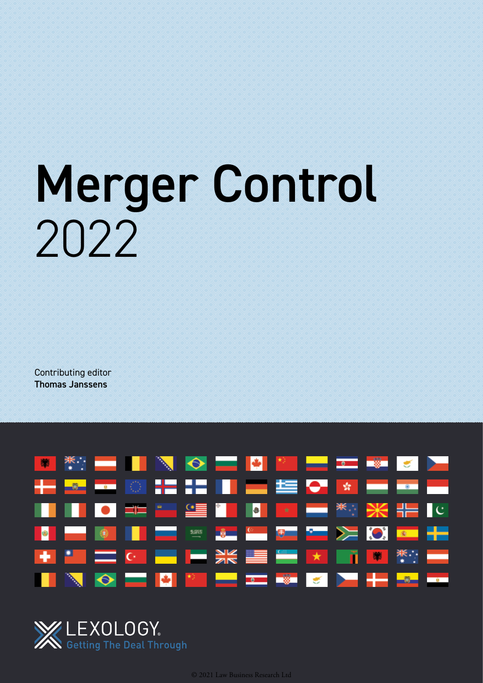# Merger Control 2022

Contributing editor Thomas Janssens



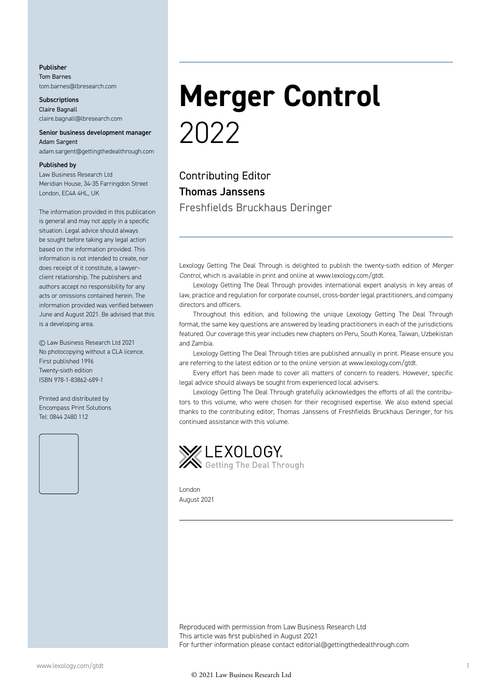Publisher Tom Barnes tom.barnes@lbresearch.com

**Subscriptions** Claire Bagnall claire.bagnall@lbresearch.com

#### Senior business development manager Adam Sargent

adam.sargent@gettingthedealthrough.com

#### Published by

Law Business Research Ltd Meridian House, 34-35 Farringdon Street London, EC4A 4HL, UK

The information provided in this publication is general and may not apply in a specific situation. Legal advice should always be sought before taking any legal action based on the information provided. This information is not intended to create, nor does receipt of it constitute, a lawyer– client relationship. The publishers and authors accept no responsibility for any acts or omissions contained herein. The information provided was verified between June and August 2021. Be advised that this is a developing area.

© Law Business Research Ltd 2021 No photocopying without a CLA licence. First published 1996 Twenty-sixth edition ISBN 978-1-83862-689-1

Printed and distributed by Encompass Print Solutions Tel: 0844 2480 112



### **Merger Control** 2022

Contributing Editor Thomas Janssens Freshfields Bruckhaus Deringer

Lexology Getting The Deal Through is delighted to publish the twenty-sixth edition of *Merger Control*, which is available in print and online at www.lexology.com/gtdt.

Lexology Getting The Deal Through provides international expert analysis in key areas of law, practice and regulation for corporate counsel, cross-border legal practitioners, and company directors and officers.

Throughout this edition, and following the unique Lexology Getting The Deal Through format, the same key questions are answered by leading practitioners in each of the jurisdictions featured. Our coverage this year includes new chapters on Peru, South Korea, Taiwan, Uzbekistan and Zambia.

Lexology Getting The Deal Through titles are published annually in print. Please ensure you are referring to the latest edition or to the online version at www.lexology.com/gtdt.

Every effort has been made to cover all matters of concern to readers. However, specific legal advice should always be sought from experienced local advisers.

Lexology Getting The Deal Through gratefully acknowledges the efforts of all the contributors to this volume, who were chosen for their recognised expertise. We also extend special thanks to the contributing editor, Thomas Janssens of Freshfields Bruckhaus Deringer, for his continued assistance with this volume.



London August 2021

Reproduced with permission from Law Business Research Ltd This article was first published in August 2021 For further information please contact editorial@gettingthedealthrough.com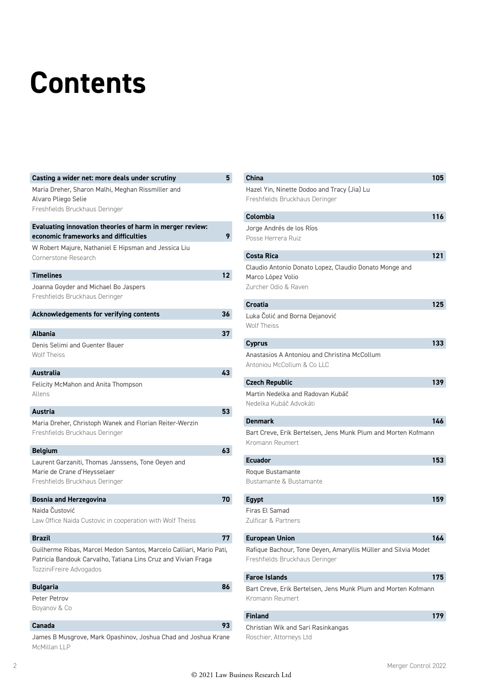### **Contents**

| Casting a wider net: more deals under scrutiny                                                                                                                  | 5                 |
|-----------------------------------------------------------------------------------------------------------------------------------------------------------------|-------------------|
| Maria Dreher, Sharon Malhi, Meghan Rissmiller and<br>Alvaro Pliego Selie<br>Freshfields Bruckhaus Deringer                                                      |                   |
| Evaluating innovation theories of harm in merger review:<br>economic frameworks and difficulties                                                                |                   |
| W Robert Majure, Nathaniel E Hipsman and Jessica Liu<br>Cornerstone Research                                                                                    |                   |
| <b>Timelines</b>                                                                                                                                                | $12 \overline{ }$ |
| Joanna Goyder and Michael Bo Jaspers<br>Freshfields Bruckhaus Deringer                                                                                          |                   |
| <b>Acknowledgements for verifying contents</b>                                                                                                                  | 36                |
| <b>Albania</b>                                                                                                                                                  | 37                |
| Denis Selimi and Guenter Bauer<br><b>Wolf Theiss</b>                                                                                                            |                   |
| Australia                                                                                                                                                       | 43                |
| Felicity McMahon and Anita Thompson<br>Allens                                                                                                                   |                   |
| <b>Austria</b>                                                                                                                                                  | 53                |
| Maria Dreher, Christoph Wanek and Florian Reiter-Werzin<br>Freshfields Bruckhaus Deringer                                                                       |                   |
| <b>Belgium</b>                                                                                                                                                  | 63                |
| Laurent Garzaniti, Thomas Janssens, Tone Oeyen and<br>Marie de Crane d'Heysselaer<br>Freshfields Bruckhaus Deringer                                             |                   |
| <b>Bosnia and Herzegovina</b>                                                                                                                                   | 70                |
| Naida Čustović<br>Law Office Naida Custovic in cooperation with Wolf Theiss                                                                                     |                   |
| <b>Brazil</b>                                                                                                                                                   | 77                |
| Guilherme Ribas, Marcel Medon Santos, Marcelo Calliari, Mario Pati,<br>Patricia Bandouk Carvalho, Tatiana Lins Cruz and Vivian Fraga<br>TozziniFreire Advogados |                   |
| <b>Bulgaria</b>                                                                                                                                                 | 86                |
| Peter Petrov<br>Boyanov & Co                                                                                                                                    |                   |
| Canada                                                                                                                                                          | 93                |
|                                                                                                                                                                 |                   |

James B Musgrove, Mark Opashinov, Joshua Chad and Joshua Krane Roschier, Attorneys Ltd McMillan LLP

| China                                                                                               | 105 |
|-----------------------------------------------------------------------------------------------------|-----|
| Hazel Yin, Ninette Dodoo and Tracy (Jia) Lu<br>Freshfields Bruckhaus Deringer                       |     |
| Colombia                                                                                            | 116 |
| Jorge Andrés de los Ríos                                                                            |     |
| Posse Herrera Ruiz                                                                                  |     |
| <b>Costa Rica</b>                                                                                   | 121 |
| Claudio Antonio Donato Lopez, Claudio Donato Monge and<br>Marco López Volio<br>Zurcher Odio & Raven |     |
| <b>Croatia</b>                                                                                      | 125 |
| Luka Čolić and Borna Dejanović<br>Wolf Theiss                                                       |     |
| <b>Cyprus</b>                                                                                       | 133 |
| Anastasios A Antoniou and Christina McCollum<br>Antoniou McCollum & Coll C                          |     |
| <b>Czech Republic</b>                                                                               | 139 |
| Martin Nedelka and Radovan Kubáč<br>Nedelka Kubáč Advokáti                                          |     |
| <b>Denmark</b>                                                                                      | 146 |
| Bart Creve, Erik Bertelsen, Jens Munk Plum and Morten Kofmann<br>Kromann Reumert                    |     |
| <b>Ecuador</b>                                                                                      | 153 |
| Roque Bustamante<br><b>Bustamante &amp; Bustamante</b>                                              |     |
| <b>Egypt</b>                                                                                        | 159 |
| Firas El Samad<br>Zulficar & Partners                                                               |     |
| <b>European Union</b>                                                                               | 164 |
| Rafique Bachour, Tone Oeyen, Amaryllis Müller and Silvia Modet<br>Freshfields Bruckhaus Deringer    |     |
| <b>Faroe Islands</b>                                                                                | 175 |
| Bart Creve, Erik Bertelsen, Jens Munk Plum and Morten Kofmann<br>Kromann Reumert                    |     |
| <b>Finland</b>                                                                                      | 179 |
| Christian Wik and Sari Rasinkangas                                                                  |     |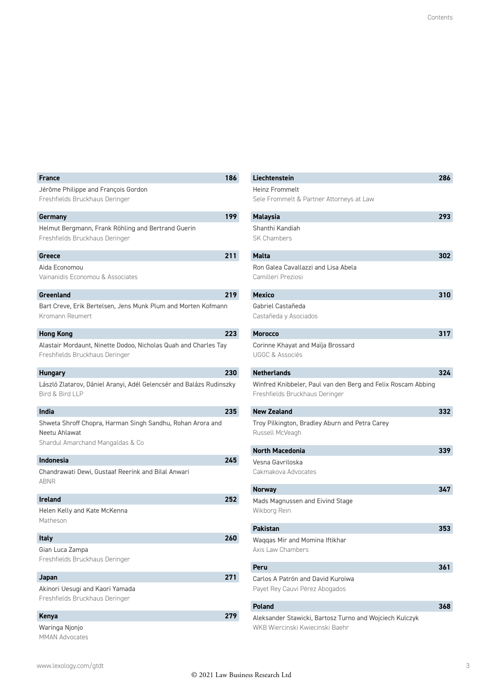| <b>France</b>                                                                                                   | 186 |
|-----------------------------------------------------------------------------------------------------------------|-----|
| Jérôme Philippe and François Gordon<br>Freshfields Bruckhaus Deringer                                           |     |
| Germany                                                                                                         | 199 |
| Helmut Bergmann, Frank Röhling and Bertrand Guerin<br>Freshfields Bruckhaus Deringer                            |     |
| Greece                                                                                                          | 211 |
| Aida Economou<br>Vainanidis Economou & Associates                                                               |     |
| Greenland                                                                                                       | 219 |
| Bart Creve, Erik Bertelsen, Jens Munk Plum and Morten Kofmann<br>Kromann Reumert                                |     |
| <b>Hong Kong</b>                                                                                                | 223 |
| Alastair Mordaunt, Ninette Dodoo, Nicholas Quah and Charles Tay<br>Freshfields Bruckhaus Deringer               |     |
| <b>Hungary</b>                                                                                                  | 230 |
| László Zlatarov, Dániel Aranyi, Adél Gelencsér and Balázs Rudinszky<br>Bird & Bird LLP                          |     |
| India                                                                                                           | 235 |
| Shweta Shroff Chopra, Harman Singh Sandhu, Rohan Arora and<br>Neetu Ahlawat<br>Shardul Amarchand Mangaldas & Co |     |
| Indonesia                                                                                                       | 245 |
| Chandrawati Dewi, Gustaaf Reerink and Bilal Anwari<br>ABNR                                                      |     |
| <b>Ireland</b>                                                                                                  | 252 |
| Helen Kelly and Kate McKenna<br>Matheson                                                                        |     |
| <b>Italy</b>                                                                                                    | 260 |
| Gian Luca Zampa<br>Freshfields Bruckhaus Deringer                                                               |     |
| Japan                                                                                                           | 271 |
| Akinori Uesugi and Kaori Yamada<br>Freshfields Bruckhaus Deringer                                               |     |
| <b>Kenya</b>                                                                                                    | 279 |
| Waringa Njonjo                                                                                                  |     |

| Liechtenstein                                                | 286 |
|--------------------------------------------------------------|-----|
| <b>Heinz Frommelt</b>                                        |     |
| Sele Frommelt & Partner Attorneys at Law                     |     |
| <b>Malaysia</b>                                              | 293 |
| Shanthi Kandiah                                              |     |
| <b>SK Chambers</b>                                           |     |
| Malta                                                        | 302 |
| Ron Galea Cavallazzi and Lisa Abela                          |     |
| Camilleri Preziosi                                           |     |
|                                                              |     |
| <b>Mexico</b>                                                | 310 |
| Gabriel Castañeda                                            |     |
| Castañeda y Asociados                                        |     |
| <b>Morocco</b>                                               | 317 |
| Corinne Khayat and Maïja Brossard                            |     |
| <b>UGGC &amp; Associés</b>                                   |     |
| <b>Netherlands</b>                                           | 324 |
| Winfred Knibbeler, Paul van den Berg and Felix Roscam Abbing |     |
| Freshfields Bruckhaus Deringer                               |     |
|                                                              |     |
| New Zealand                                                  | 332 |
| Troy Pilkington, Bradley Aburn and Petra Carey               |     |
| Russell McVeagh                                              |     |
| North Macedonia                                              | 339 |
| Vesna Gavriloska                                             |     |
| Cakmakova Advocates                                          |     |
| <b>Norway</b>                                                | 347 |
| Mads Magnussen and Eivind Stage                              |     |
| Wikborg Rein                                                 |     |
|                                                              |     |
| <b>Pakistan</b>                                              | 353 |
| Waqqas Mir and Momina Iftikhar                               |     |
| Axis Law Chambers                                            |     |
| Peru                                                         | 361 |
| Carlos A Patrón and David Kuroiwa                            |     |
| Payet Rey Cauvi Pérez Abogados                               |     |
| <b>Poland</b>                                                | 368 |
| Aleksander Stawicki, Bartosz Turno and Wojciech Kulczyk      |     |
| WKB Wiercinski Kwiecinski Baehr                              |     |

MMAN Advocates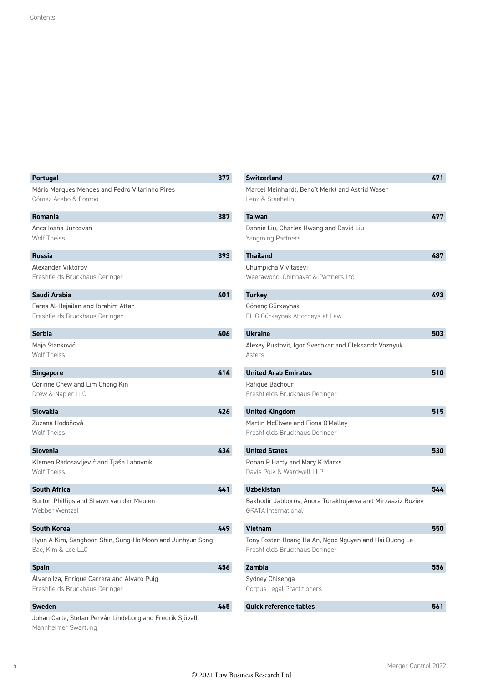| <b>Portugal</b>                                                                  | 377 |
|----------------------------------------------------------------------------------|-----|
| Mário Marques Mendes and Pedro Vilarinho Pires<br>Gómez-Acebo & Pombo            |     |
| Romania                                                                          | 387 |
| Anca Ioana Jurcovan<br><b>Wolf Theiss</b>                                        |     |
| <b>Russia</b>                                                                    | 393 |
| Alexander Viktorov<br>Freshfields Bruckhaus Deringer                             |     |
| Saudi Arabia                                                                     | 401 |
| Fares Al-Hejailan and Ibrahim Attar<br>Freshfields Bruckhaus Deringer            |     |
| <b>Serbia</b>                                                                    | 406 |
| Maja Stanković<br><b>Wolf Theiss</b>                                             |     |
| <b>Singapore</b>                                                                 | 414 |
| Corinne Chew and Lim Chong Kin<br>Drew & Napier LLC                              |     |
| <b>Slovakia</b>                                                                  | 426 |
| Zuzana Hodoňová<br><b>Wolf Theiss</b>                                            |     |
| <b>Slovenia</b>                                                                  | 434 |
| Klemen Radosavljević and Tjaša Lahovnik<br><b>Wolf Theiss</b>                    |     |
| <b>South Africa</b>                                                              | 441 |
| Burton Phillips and Shawn van der Meulen<br>Webber Wentzel                       |     |
| <b>South Korea</b>                                                               | 449 |
| Hyun A Kim, Sanghoon Shin, Sung-Ho Moon and Junhyun Song<br>Bae, Kim & Lee LLC   |     |
| <b>Spain</b>                                                                     | 456 |
| Álvaro Iza, Enrique Carrera and Álvaro Puig<br>Freshfields Bruckhaus Deringer    |     |
| <b>Sweden</b>                                                                    | 465 |
| Johan Carle, Stefan Perván Lindeborg and Fredrik Sjövall<br>Mannheimer Swartling |     |

| <b>Switzerland</b>                                          | 471 |
|-------------------------------------------------------------|-----|
| Marcel Meinhardt, Benoît Merkt and Astrid Waser             |     |
| Lenz & Staehelin                                            |     |
| Taiwan                                                      | 477 |
| Dannie Liu, Charles Hwang and David Liu                     |     |
| Yangming Partners                                           |     |
| <b>Thailand</b>                                             | 487 |
| Chumpicha Vivitasevi                                        |     |
| Weerawong, Chinnavat & Partners Ltd                         |     |
|                                                             |     |
| <b>Turkey</b>                                               | 493 |
| Gönenç Gürkaynak                                            |     |
| ELIG Gürkaynak Attorneys-at-Law                             |     |
| <b>Ukraine</b>                                              | 503 |
| Alexey Pustovit, Igor Svechkar and Oleksandr Voznyuk        |     |
| Asters                                                      |     |
|                                                             |     |
| <b>United Arab Emirates</b>                                 | 510 |
| Rafique Bachour                                             |     |
| Freshfields Bruckhaus Deringer                              |     |
| <b>United Kingdom</b>                                       | 515 |
| Martin McElwee and Fiona O'Malley                           |     |
| Freshfields Bruckhaus Deringer                              |     |
|                                                             |     |
| <b>United States</b>                                        | 530 |
| Ronan P Harty and Mary K Marks<br>Davis Polk & Wardwell LLP |     |
|                                                             |     |
| <b>Uzbekistan</b>                                           | 544 |
| Bakhodir Jabborov, Anora Turakhujaeva and Mirzaaziz Ruziev  |     |
| <b>GRATA</b> International                                  |     |
| Vietnam                                                     | 550 |
| Tony Foster, Hoang Ha An, Ngoc Nguyen and Hai Duong Le      |     |
| Freshfields Bruckhaus Deringer                              |     |
|                                                             |     |
| Zambia                                                      | 556 |
| Sydney Chisenga                                             |     |
| Corpus Legal Practitioners                                  |     |
| <b>Quick reference tables</b>                               | 561 |
|                                                             |     |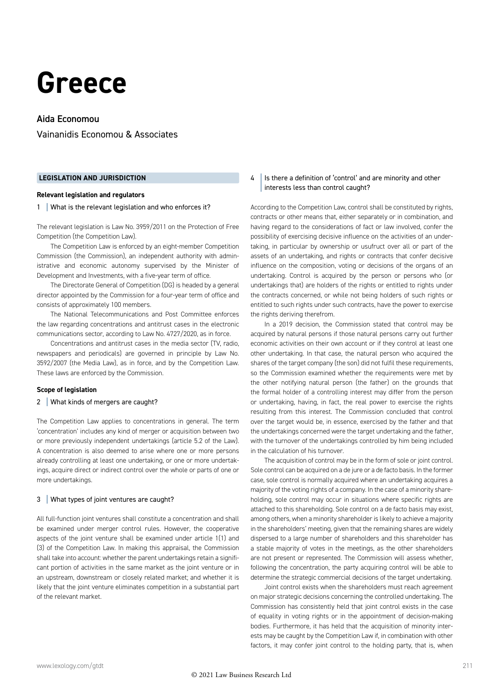### **Greece**

#### Aida Economou

Vainanidis Economou & Associates

#### **LEGISLATION AND JURISDICTION**

#### **Relevant legislation and regulators**

#### 1 What is the relevant legislation and who enforces it?

The relevant legislation is Law No. 3959/2011 on the Protection of Free Competition (the Competition Law).

The Competition Law is enforced by an eight-member Competition Commission (the Commission), an independent authority with administrative and economic autonomy supervised by the Minister of Development and Investments, with a five-year term of office.

The Directorate General of Competition (DG) is headed by a general director appointed by the Commission for a four-year term of office and consists of approximately 100 members.

The National Telecommunications and Post Committee enforces the law regarding concentrations and antitrust cases in the electronic communications sector, according to Law No. 4727/2020, as in force.

Concentrations and antitrust cases in the media sector (TV, radio, newspapers and periodicals) are governed in principle by Law No. 3592/2007 (the Media Law), as in force, and by the Competition Law. These laws are enforced by the Commission.

#### **Scope of legislation**

#### 2 | What kinds of mergers are caught?

The Competition Law applies to concentrations in general. The term 'concentration' includes any kind of merger or acquisition between two or more previously independent undertakings (article 5.2 of the Law). A concentration is also deemed to arise where one or more persons already controlling at least one undertaking, or one or more undertakings, acquire direct or indirect control over the whole or parts of one or more undertakings.

#### 3 | What types of joint ventures are caught?

All full-function joint ventures shall constitute a concentration and shall be examined under merger control rules. However, the cooperative aspects of the joint venture shall be examined under article 1(1) and (3) of the Competition Law. In making this appraisal, the Commission shall take into account: whether the parent undertakings retain a significant portion of activities in the same market as the joint venture or in an upstream, downstream or closely related market; and whether it is likely that the joint venture eliminates competition in a substantial part of the relevant market.

#### 4 Is there a definition of 'control' and are minority and other interests less than control caught?

According to the Competition Law, control shall be constituted by rights, contracts or other means that, either separately or in combination, and having regard to the considerations of fact or law involved, confer the possibility of exercising decisive influence on the activities of an undertaking, in particular by ownership or usufruct over all or part of the assets of an undertaking, and rights or contracts that confer decisive influence on the composition, voting or decisions of the organs of an undertaking. Control is acquired by the person or persons who (or undertakings that) are holders of the rights or entitled to rights under the contracts concerned, or while not being holders of such rights or entitled to such rights under such contracts, have the power to exercise the rights deriving therefrom.

In a 2019 decision, the Commission stated that control may be acquired by natural persons if those natural persons carry out further economic activities on their own account or if they control at least one other undertaking. In that case, the natural person who acquired the shares of the target company (the son) did not fulfil these requirements, so the Commission examined whether the requirements were met by the other notifying natural person (the father) on the grounds that the formal holder of a controlling interest may differ from the person or undertaking, having, in fact, the real power to exercise the rights resulting from this interest. The Commission concluded that control over the target would be, in essence, exercised by the father and that the undertakings concerned were the target undertaking and the father, with the turnover of the undertakings controlled by him being included in the calculation of his turnover.

The acquisition of control may be in the form of sole or joint control. Sole control can be acquired on a de jure or a de facto basis. In the former case, sole control is normally acquired where an undertaking acquires a majority of the voting rights of a company. In the case of a minority shareholding, sole control may occur in situations where specific rights are attached to this shareholding. Sole control on a de facto basis may exist, among others, when a minority shareholder is likely to achieve a majority in the shareholders' meeting, given that the remaining shares are widely dispersed to a large number of shareholders and this shareholder has a stable majority of votes in the meetings, as the other shareholders are not present or represented. The Commission will assess whether, following the concentration, the party acquiring control will be able to determine the strategic commercial decisions of the target undertaking.

Joint control exists when the shareholders must reach agreement on major strategic decisions concerning the controlled undertaking. The Commission has consistently held that joint control exists in the case of equality in voting rights or in the appointment of decision-making bodies. Furthermore, it has held that the acquisition of minority interests may be caught by the Competition Law if, in combination with other factors, it may confer joint control to the holding party, that is, when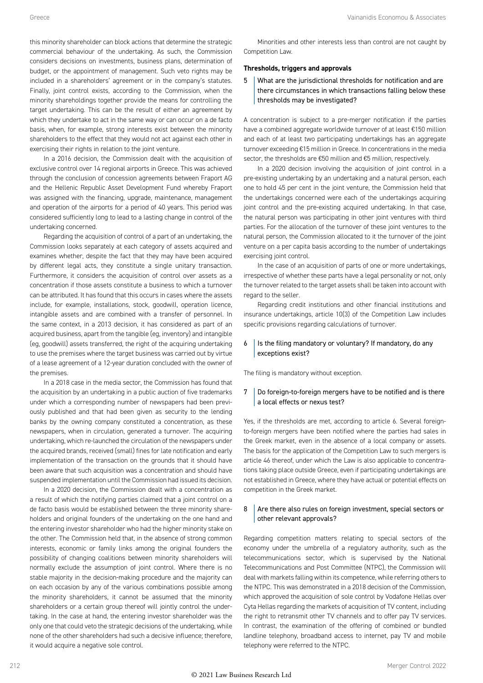this minority shareholder can block actions that determine the strategic commercial behaviour of the undertaking. As such, the Commission considers decisions on investments, business plans, determination of budget, or the appointment of management. Such veto rights may be included in a shareholders' agreement or in the company's statutes. Finally, joint control exists, according to the Commission, when the minority shareholdings together provide the means for controlling the target undertaking. This can be the result of either an agreement by which they undertake to act in the same way or can occur on a de facto basis, when, for example, strong interests exist between the minority shareholders to the effect that they would not act against each other in exercising their rights in relation to the joint venture.

In a 2016 decision, the Commission dealt with the acquisition of exclusive control over 14 regional airports in Greece. This was achieved through the conclusion of concession agreements between Fraport AG and the Hellenic Republic Asset Development Fund whereby Fraport was assigned with the financing, upgrade, maintenance, management and operation of the airports for a period of 40 years. This period was considered sufficiently long to lead to a lasting change in control of the undertaking concerned.

Regarding the acquisition of control of a part of an undertaking, the Commission looks separately at each category of assets acquired and examines whether, despite the fact that they may have been acquired by different legal acts, they constitute a single unitary transaction. Furthermore, it considers the acquisition of control over assets as a concentration if those assets constitute a business to which a turnover can be attributed. It has found that this occurs in cases where the assets include, for example, installations, stock, goodwill, operation licence, intangible assets and are combined with a transfer of personnel. In the same context, in a 2013 decision, it has considered as part of an acquired business, apart from the tangible (eg, inventory) and intangible (eg, goodwill) assets transferred, the right of the acquiring undertaking to use the premises where the target business was carried out by virtue of a lease agreement of a 12-year duration concluded with the owner of the premises.

In a 2018 case in the media sector, the Commission has found that the acquisition by an undertaking in a public auction of five trademarks under which a corresponding number of newspapers had been previously published and that had been given as security to the lending banks by the owning company constituted a concentration, as these newspapers, when in circulation, generated a turnover. The acquiring undertaking, which re-launched the circulation of the newspapers under the acquired brands, received (small) fines for late notification and early implementation of the transaction on the grounds that it should have been aware that such acquisition was a concentration and should have suspended implementation until the Commission had issued its decision.

In a 2020 decision, the Commission dealt with a concentration as a result of which the notifying parties claimed that a joint control on a de facto basis would be established between the three minority shareholders and original founders of the undertaking on the one hand and the entering investor shareholder who had the higher minority stake on the other. The Commission held that, in the absence of strong common interests, economic or family links among the original founders the possibility of changing coalitions between minority shareholders will normally exclude the assumption of joint control. Where there is no stable majority in the decision-making procedure and the majority can on each occasion by any of the various combinations possible among the minority shareholders, it cannot be assumed that the minority shareholders or a certain group thereof will jointly control the undertaking. In the case at hand, the entering investor shareholder was the only one that could veto the strategic decisions of the undertaking, while none of the other shareholders had such a decisive influence; therefore, it would acquire a negative sole control.

Minorities and other interests less than control are not caught by Competition Law.

#### **Thresholds, triggers and approvals**

5 What are the jurisdictional thresholds for notification and are there circumstances in which transactions falling below these thresholds may be investigated?

A concentration is subject to a pre-merger notification if the parties have a combined aggregate worldwide turnover of at least €150 million and each of at least two participating undertakings has an aggregate turnover exceeding €15 million in Greece. In concentrations in the media sector, the thresholds are €50 million and €5 million, respectively.

In a 2020 decision involving the acquisition of joint control in a pre-existing undertaking by an undertaking and a natural person, each one to hold 45 per cent in the joint venture, the Commission held that the undertakings concerned were each of the undertakings acquiring joint control and the pre-existing acquired undertaking. In that case, the natural person was participating in other joint ventures with third parties. For the allocation of the turnover of these joint ventures to the natural person, the Commission allocated to it the turnover of the joint venture on a per capita basis according to the number of undertakings exercising joint control.

In the case of an acquisition of parts of one or more undertakings, irrespective of whether these parts have a legal personality or not, only the turnover related to the target assets shall be taken into account with regard to the seller.

Regarding credit institutions and other financial institutions and insurance undertakings, article 10(3) of the Competition Law includes specific provisions regarding calculations of turnover.

#### $6$  | Is the filing mandatory or voluntary? If mandatory, do any exceptions exist?

The filing is mandatory without exception.

#### $7$  Do foreign-to-foreign mergers have to be notified and is there a local effects or nexus test?

Yes, if the thresholds are met, according to article 6. Several foreignto-foreign mergers have been notified where the parties had sales in the Greek market, even in the absence of a local company or assets. The basis for the application of the Competition Law to such mergers is article 46 thereof, under which the Law is also applicable to concentrations taking place outside Greece, even if participating undertakings are not established in Greece, where they have actual or potential effects on competition in the Greek market.

#### 8 Are there also rules on foreign investment, special sectors or other relevant approvals?

Regarding competition matters relating to special sectors of the economy under the umbrella of a regulatory authority, such as the telecommunications sector, which is supervised by the National Telecommunications and Post Committee (NTPC), the Commission will deal with markets falling within its competence, while referring others to the NTPC. This was demonstrated in a 2018 decision of the Commission, which approved the acquisition of sole control by Vodafone Hellas over Cyta Hellas regarding the markets of acquisition of TV content, including the right to retransmit other TV channels and to offer pay TV services. In contrast, the examination of the offering of combined or bundled landline telephony, broadband access to internet, pay TV and mobile telephony were referred to the NTPC.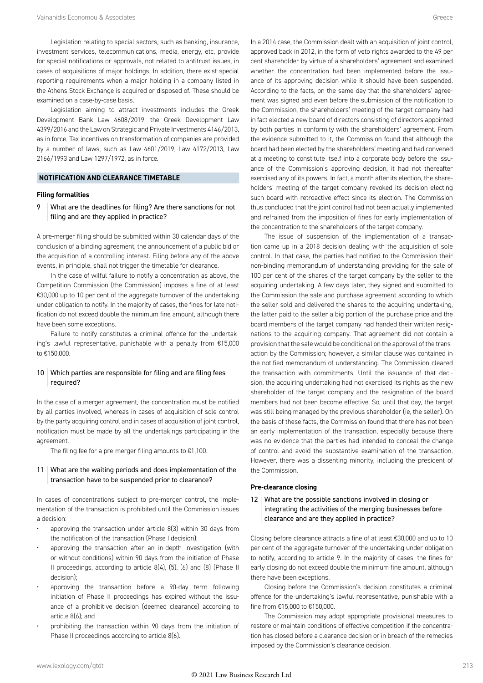Legislation relating to special sectors, such as banking, insurance, investment services, telecommunications, media, energy, etc, provide for special notifications or approvals, not related to antitrust issues, in cases of acquisitions of major holdings. In addition, there exist special reporting requirements when a major holding in a company listed in the Athens Stock Exchange is acquired or disposed of. These should be examined on a case-by-case basis.

Legislation aiming to attract investments includes the Greek Development Bank Law 4608/2019, the Greek Development Law 4399/2016 and the Law on Strategic and Private Investments 4146/2013, as in force. Tax incentives on transformation of companies are provided by a number of laws, such as Law 4601/2019, Law 4172/2013, Law 2166/1993 and Law 1297/1972, as in force.

#### **NOTIFICATION AND CLEARANCE TIMETABLE**

#### **Filing formalities**

9 What are the deadlines for filing? Are there sanctions for not filing and are they applied in practice?

A pre-merger filing should be submitted within 30 calendar days of the conclusion of a binding agreement, the announcement of a public bid or the acquisition of a controlling interest. Filing before any of the above events, in principle, shall not trigger the timetable for clearance.

In the case of wilful failure to notify a concentration as above, the Competition Commission (the Commission) imposes a fine of at least €30,000 up to 10 per cent of the aggregate turnover of the undertaking under obligation to notify. In the majority of cases, the fines for late notification do not exceed double the minimum fine amount, although there have been some exceptions.

Failure to notify constitutes a criminal offence for the undertaking's lawful representative, punishable with a penalty from €15,000 to €150,000.

#### 10 Which parties are responsible for filing and are filing fees required?

In the case of a merger agreement, the concentration must be notified by all parties involved, whereas in cases of acquisition of sole control by the party acquiring control and in cases of acquisition of joint control, notification must be made by all the undertakings participating in the agreement.

The filing fee for a pre-merger filing amounts to €1,100.

#### 11 What are the waiting periods and does implementation of the transaction have to be suspended prior to clearance?

In cases of concentrations subject to pre-merger control, the implementation of the transaction is prohibited until the Commission issues a decision:

- approving the transaction under article 8(3) within 30 days from the notification of the transaction (Phase I decision);
- approving the transaction after an in-depth investigation (with or without conditions) within 90 days from the initiation of Phase II proceedings, according to article 8(4), (5), (6) and (8) (Phase II decision);
- approving the transaction before a 90-day term following initiation of Phase II proceedings has expired without the issuance of a prohibitive decision (deemed clearance) according to article 8(6); and
- prohibiting the transaction within 90 days from the initiation of Phase II proceedings according to article 8(6).

In a 2014 case, the Commission dealt with an acquisition of joint control, approved back in 2012, in the form of veto rights awarded to the 49 per cent shareholder by virtue of a shareholders' agreement and examined whether the concentration had been implemented before the issuance of its approving decision while it should have been suspended. According to the facts, on the same day that the shareholders' agreement was signed and even before the submission of the notification to the Commission, the shareholders' meeting of the target company had in fact elected a new board of directors consisting of directors appointed by both parties in conformity with the shareholders' agreement. From the evidence submitted to it, the Commission found that although the board had been elected by the shareholders' meeting and had convened at a meeting to constitute itself into a corporate body before the issuance of the Commission's approving decision, it had not thereafter exercised any of its powers. In fact, a month after its election, the shareholders' meeting of the target company revoked its decision electing such board with retroactive effect since its election. The Commission thus concluded that the joint control had not been actually implemented and refrained from the imposition of fines for early implementation of the concentration to the shareholders of the target company.

The issue of suspension of the implementation of a transaction came up in a 2018 decision dealing with the acquisition of sole control. In that case, the parties had notified to the Commission their non-binding memorandum of understanding providing for the sale of 100 per cent of the shares of the target company by the seller to the acquiring undertaking. A few days later, they signed and submitted to the Commission the sale and purchase agreement according to which the seller sold and delivered the shares to the acquiring undertaking, the latter paid to the seller a big portion of the purchase price and the board members of the target company had handed their written resignations to the acquiring company. That agreement did not contain a provision that the sale would be conditional on the approval of the transaction by the Commission; however, a similar clause was contained in the notified memorandum of understanding. The Commission cleared the transaction with commitments. Until the issuance of that decision, the acquiring undertaking had not exercised its rights as the new shareholder of the target company and the resignation of the board members had not been become effective. So, until that day, the target was still being managed by the previous shareholder (ie, the seller). On the basis of these facts, the Commission found that there has not been an early implementation of the transaction, especially because there was no evidence that the parties had intended to conceal the change of control and avoid the substantive examination of the transaction. However, there was a dissenting minority, including the president of the Commission.

#### **Pre-clearance closing**

#### 12 What are the possible sanctions involved in closing or integrating the activities of the merging businesses before clearance and are they applied in practice?

Closing before clearance attracts a fine of at least €30,000 and up to 10 per cent of the aggregate turnover of the undertaking under obligation to notify, according to article 9. In the majority of cases, the fines for early closing do not exceed double the minimum fine amount, although there have been exceptions.

Closing before the Commission's decision constitutes a criminal offence for the undertaking's lawful representative, punishable with a fine from €15,000 to €150,000.

The Commission may adopt appropriate provisional measures to restore or maintain conditions of effective competition if the concentration has closed before a clearance decision or in breach of the remedies imposed by the Commission's clearance decision.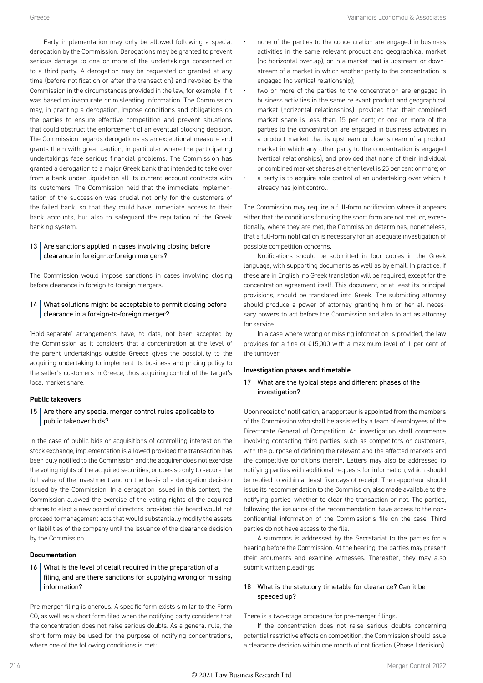Early implementation may only be allowed following a special derogation by the Commission. Derogations may be granted to prevent serious damage to one or more of the undertakings concerned or to a third party. A derogation may be requested or granted at any time (before notification or after the transaction) and revoked by the Commission in the circumstances provided in the law, for example, if it was based on inaccurate or misleading information. The Commission may, in granting a derogation, impose conditions and obligations on the parties to ensure effective competition and prevent situations that could obstruct the enforcement of an eventual blocking decision. The Commission regards derogations as an exceptional measure and grants them with great caution, in particular where the participating undertakings face serious financial problems. The Commission has granted a derogation to a major Greek bank that intended to take over from a bank under liquidation all its current account contracts with its customers. The Commission held that the immediate implementation of the succession was crucial not only for the customers of the failed bank, so that they could have immediate access to their bank accounts, but also to safeguard the reputation of the Greek banking system.

#### $13$  Are sanctions applied in cases involving closing before clearance in foreign-to-foreign mergers?

The Commission would impose sanctions in cases involving closing before clearance in foreign-to-foreign mergers.

#### 14 What solutions might be acceptable to permit closing before clearance in a foreign-to-foreign merger?

'Hold-separate' arrangements have, to date, not been accepted by the Commission as it considers that a concentration at the level of the parent undertakings outside Greece gives the possibility to the acquiring undertaking to implement its business and pricing policy to the seller's customers in Greece, thus acquiring control of the target's local market share.

#### **Public takeovers**

#### 15  $\vert$  Are there any special merger control rules applicable to public takeover bids?

In the case of public bids or acquisitions of controlling interest on the stock exchange, implementation is allowed provided the transaction has been duly notified to the Commission and the acquirer does not exercise the voting rights of the acquired securities, or does so only to secure the full value of the investment and on the basis of a derogation decision issued by the Commission. In a derogation issued in this context, the Commission allowed the exercise of the voting rights of the acquired shares to elect a new board of directors, provided this board would not proceed to management acts that would substantially modify the assets or liabilities of the company until the issuance of the clearance decision by the Commission.

#### **Documentation**

#### 16 What is the level of detail required in the preparation of a filing, and are there sanctions for supplying wrong or missing information?

Pre-merger filing is onerous. A specific form exists similar to the Form CO, as well as a short form filed when the notifying party considers that the concentration does not raise serious doubts. As a general rule, the short form may be used for the purpose of notifying concentrations, where one of the following conditions is met:

- none of the parties to the concentration are engaged in business activities in the same relevant product and geographical market (no horizontal overlap), or in a market that is upstream or downstream of a market in which another party to the concentration is engaged (no vertical relationship);
- two or more of the parties to the concentration are engaged in business activities in the same relevant product and geographical market (horizontal relationships), provided that their combined market share is less than 15 per cent; or one or more of the parties to the concentration are engaged in business activities in a product market that is upstream or downstream of a product market in which any other party to the concentration is engaged (vertical relationships), and provided that none of their individual or combined market shares at either level is 25 per cent or more; or
- a party is to acquire sole control of an undertaking over which it already has joint control.

The Commission may require a full-form notification where it appears either that the conditions for using the short form are not met, or, exceptionally, where they are met, the Commission determines, nonetheless, that a full-form notification is necessary for an adequate investigation of possible competition concerns.

Notifications should be submitted in four copies in the Greek language, with supporting documents as well as by email. In practice, if these are in English, no Greek translation will be required, except for the concentration agreement itself. This document, or at least its principal provisions, should be translated into Greek. The submitting attorney should produce a power of attorney granting him or her all necessary powers to act before the Commission and also to act as attorney for service.

In a case where wrong or missing information is provided, the law provides for a fine of €15,000 with a maximum level of 1 per cent of the turnover.

#### **Investigation phases and timetable**

#### 17 What are the typical steps and different phases of the investigation?

Upon receipt of notification, a rapporteur is appointed from the members of the Commission who shall be assisted by a team of employees of the Directorate General of Competition. An investigation shall commence involving contacting third parties, such as competitors or customers, with the purpose of defining the relevant and the affected markets and the competitive conditions therein. Letters may also be addressed to notifying parties with additional requests for information, which should be replied to within at least five days of receipt. The rapporteur should issue its recommendation to the Commission, also made available to the notifying parties, whether to clear the transaction or not. The parties, following the issuance of the recommendation, have access to the nonconfidential information of the Commission's file on the case. Third parties do not have access to the file.

A summons is addressed by the Secretariat to the parties for a hearing before the Commission. At the hearing, the parties may present their arguments and examine witnesses. Thereafter, they may also submit written pleadings.

#### 18 What is the statutory timetable for clearance? Can it be speeded up?

There is a two-stage procedure for pre-merger filings.

If the concentration does not raise serious doubts concerning potential restrictive effects on competition, the Commission should issue a clearance decision within one month of notification (Phase I decision).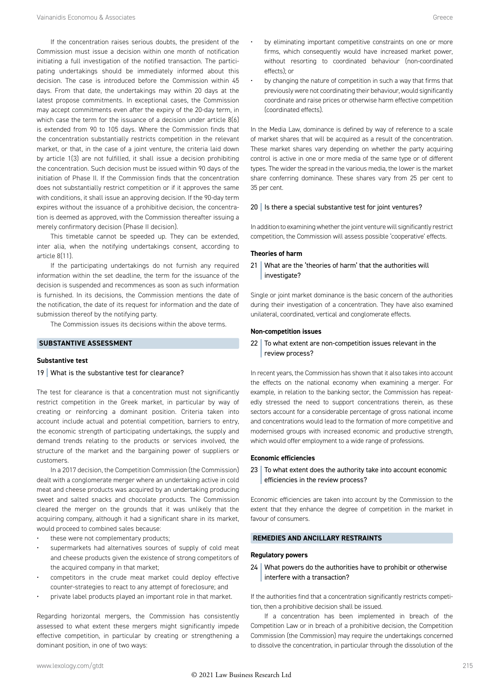If the concentration raises serious doubts, the president of the Commission must issue a decision within one month of notification initiating a full investigation of the notified transaction. The participating undertakings should be immediately informed about this decision. The case is introduced before the Commission within 45 days. From that date, the undertakings may within 20 days at the latest propose commitments. In exceptional cases, the Commission may accept commitments even after the expiry of the 20-day term, in which case the term for the issuance of a decision under article 8(6) is extended from 90 to 105 days. Where the Commission finds that the concentration substantially restricts competition in the relevant market, or that, in the case of a joint venture, the criteria laid down by article 1(3) are not fulfilled, it shall issue a decision prohibiting the concentration. Such decision must be issued within 90 days of the initiation of Phase II. If the Commission finds that the concentration does not substantially restrict competition or if it approves the same with conditions, it shall issue an approving decision. If the 90-day term expires without the issuance of a prohibitive decision, the concentration is deemed as approved, with the Commission thereafter issuing a merely confirmatory decision (Phase II decision).

This timetable cannot be speeded up. They can be extended, inter alia, when the notifying undertakings consent, according to article 8(11).

If the participating undertakings do not furnish any required information within the set deadline, the term for the issuance of the decision is suspended and recommences as soon as such information is furnished. In its decisions, the Commission mentions the date of the notification, the date of its request for information and the date of submission thereof by the notifying party.

The Commission issues its decisions within the above terms.

#### **SUBSTANTIVE ASSESSMENT**

#### **Substantive test**

#### 19 What is the substantive test for clearance?

The test for clearance is that a concentration must not significantly restrict competition in the Greek market, in particular by way of creating or reinforcing a dominant position. Criteria taken into account include actual and potential competition, barriers to entry, the economic strength of participating undertakings, the supply and demand trends relating to the products or services involved, the structure of the market and the bargaining power of suppliers or customers.

In a 2017 decision, the Competition Commission (the Commission) dealt with a conglomerate merger where an undertaking active in cold meat and cheese products was acquired by an undertaking producing sweet and salted snacks and chocolate products. The Commission cleared the merger on the grounds that it was unlikely that the acquiring company, although it had a significant share in its market, would proceed to combined sales because:

- these were not complementary products;
- supermarkets had alternatives sources of supply of cold meat and cheese products given the existence of strong competitors of the acquired company in that market;
- competitors in the crude meat market could deploy effective counter-strategies to react to any attempt of foreclosure; and
- private label products played an important role in that market.

Regarding horizontal mergers, the Commission has consistently assessed to what extent these mergers might significantly impede effective competition, in particular by creating or strengthening a dominant position, in one of two ways:

- by eliminating important competitive constraints on one or more firms, which consequently would have increased market power, without resorting to coordinated behaviour (non-coordinated effects); or
- by changing the nature of competition in such a way that firms that previously were not coordinating their behaviour, would significantly coordinate and raise prices or otherwise harm effective competition (coordinated effects).

In the Media Law, dominance is defined by way of reference to a scale of market shares that will be acquired as a result of the concentration. These market shares vary depending on whether the party acquiring control is active in one or more media of the same type or of different types. The wider the spread in the various media, the lower is the market share conferring dominance. These shares vary from 25 per cent to 35 per cent.

#### $20$  Is there a special substantive test for joint ventures?

In addition to examining whether the joint venture will significantly restrict competition, the Commission will assess possible 'cooperative' effects.

#### **Theories of harm**

21 What are the 'theories of harm' that the authorities will investigate?

Single or joint market dominance is the basic concern of the authorities during their investigation of a concentration. They have also examined unilateral, coordinated, vertical and conglomerate effects.

#### **Non-competition issues**

#### $22$  To what extent are non-competition issues relevant in the review process?

In recent years, the Commission has shown that it also takes into account the effects on the national economy when examining a merger. For example, in relation to the banking sector, the Commission has repeatedly stressed the need to support concentrations therein, as these sectors account for a considerable percentage of gross national income and concentrations would lead to the formation of more competitive and modernised groups with increased economic and productive strength, which would offer employment to a wide range of professions.

#### **Economic efficiencies**

#### $23$  To what extent does the authority take into account economic efficiencies in the review process?

Economic efficiencies are taken into account by the Commission to the extent that they enhance the degree of competition in the market in favour of consumers.

#### **REMEDIES AND ANCILLARY RESTRAINTS**

#### **Regulatory powers**

24 What powers do the authorities have to prohibit or otherwise interfere with a transaction?

If the authorities find that a concentration significantly restricts competition, then a prohibitive decision shall be issued.

If a concentration has been implemented in breach of the Competition Law or in breach of a prohibitive decision, the Competition Commission (the Commission) may require the undertakings concerned to dissolve the concentration, in particular through the dissolution of the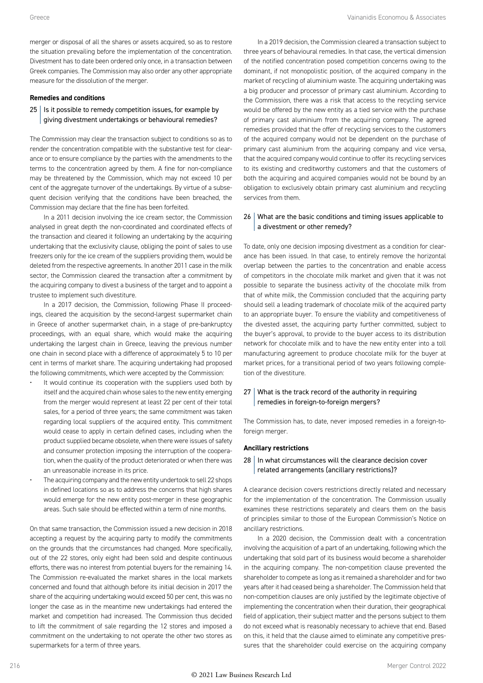merger or disposal of all the shares or assets acquired, so as to restore the situation prevailing before the implementation of the concentration. Divestment has to date been ordered only once, in a transaction between Greek companies. The Commission may also order any other appropriate measure for the dissolution of the merger.

#### **Remedies and conditions**

#### $25$  | Is it possible to remedy competition issues, for example by giving divestment undertakings or behavioural remedies?

The Commission may clear the transaction subject to conditions so as to render the concentration compatible with the substantive test for clearance or to ensure compliance by the parties with the amendments to the terms to the concentration agreed by them. A fine for non-compliance may be threatened by the Commission, which may not exceed 10 per cent of the aggregate turnover of the undertakings. By virtue of a subsequent decision verifying that the conditions have been breached, the Commission may declare that the fine has been forfeited.

In a 2011 decision involving the ice cream sector, the Commission analysed in great depth the non-coordinated and coordinated effects of the transaction and cleared it following an undertaking by the acquiring undertaking that the exclusivity clause, obliging the point of sales to use freezers only for the ice cream of the suppliers providing them, would be deleted from the respective agreements. In another 2011 case in the milk sector, the Commission cleared the transaction after a commitment by the acquiring company to divest a business of the target and to appoint a trustee to implement such divestiture.

In a 2017 decision, the Commission, following Phase II proceedings, cleared the acquisition by the second-largest supermarket chain in Greece of another supermarket chain, in a stage of pre-bankruptcy proceedings, with an equal share, which would make the acquiring undertaking the largest chain in Greece, leaving the previous number one chain in second place with a difference of approximately 5 to 10 per cent in terms of market share. The acquiring undertaking had proposed the following commitments, which were accepted by the Commission:

- It would continue its cooperation with the suppliers used both by itself and the acquired chain whose sales to the new entity emerging from the merger would represent at least 22 per cent of their total sales, for a period of three years; the same commitment was taken regarding local suppliers of the acquired entity. This commitment would cease to apply in certain defined cases, including when the product supplied became obsolete, when there were issues of safety and consumer protection imposing the interruption of the cooperation, when the quality of the product deteriorated or when there was an unreasonable increase in its price.
- The acquiring company and the new entity undertook to sell 22 shops in defined locations so as to address the concerns that high shares would emerge for the new entity post-merger in these geographic areas. Such sale should be effected within a term of nine months.

On that same transaction, the Commission issued a new decision in 2018 accepting a request by the acquiring party to modify the commitments on the grounds that the circumstances had changed. More specifically, out of the 22 stores, only eight had been sold and despite continuous efforts, there was no interest from potential buyers for the remaining 14. The Commission re-evaluated the market shares in the local markets concerned and found that although before its initial decision in 2017 the share of the acquiring undertaking would exceed 50 per cent, this was no longer the case as in the meantime new undertakings had entered the market and competition had increased. The Commission thus decided to lift the commitment of sale regarding the 12 stores and imposed a commitment on the undertaking to not operate the other two stores as supermarkets for a term of three years.

In a 2019 decision, the Commission cleared a transaction subject to three years of behavioural remedies. In that case, the vertical dimension of the notified concentration posed competition concerns owing to the dominant, if not monopolistic position, of the acquired company in the market of recycling of aluminium waste. The acquiring undertaking was a big producer and processor of primary cast aluminium. According to the Commission, there was a risk that access to the recycling service would be offered by the new entity as a tied service with the purchase of primary cast aluminium from the acquiring company. The agreed remedies provided that the offer of recycling services to the customers of the acquired company would not be dependent on the purchase of primary cast aluminium from the acquiring company and vice versa, that the acquired company would continue to offer its recycling services to its existing and creditworthy customers and that the customers of both the acquiring and acquired companies would not be bound by an obligation to exclusively obtain primary cast aluminium and recycling services from them.

#### 26 What are the basic conditions and timing issues applicable to a divestment or other remedy?

To date, only one decision imposing divestment as a condition for clearance has been issued. In that case, to entirely remove the horizontal overlap between the parties to the concentration and enable access of competitors in the chocolate milk market and given that it was not possible to separate the business activity of the chocolate milk from that of white milk, the Commission concluded that the acquiring party should sell a leading trademark of chocolate milk of the acquired party to an appropriate buyer. To ensure the viability and competitiveness of the divested asset, the acquiring party further committed, subject to the buyer's approval, to provide to the buyer access to its distribution network for chocolate milk and to have the new entity enter into a toll manufacturing agreement to produce chocolate milk for the buyer at market prices, for a transitional period of two years following completion of the divestiture.

#### $27$  What is the track record of the authority in requiring remedies in foreign-to-foreign mergers?

The Commission has, to date, never imposed remedies in a foreign-toforeign merger.

#### **Ancillary restrictions**

#### $28$  In what circumstances will the clearance decision cover related arrangements (ancillary restrictions)?

A clearance decision covers restrictions directly related and necessary for the implementation of the concentration. The Commission usually examines these restrictions separately and clears them on the basis of principles similar to those of the European Commission's Notice on ancillary restrictions.

In a 2020 decision, the Commission dealt with a concentration involving the acquisition of a part of an undertaking, following which the undertaking that sold part of its business would become a shareholder in the acquiring company. The non-competition clause prevented the shareholder to compete as long as it remained a shareholder and for two years after it had ceased being a shareholder. The Commission held that non-competition clauses are only justified by the legitimate objective of implementing the concentration when their duration, their geographical field of application, their subject matter and the persons subject to them do not exceed what is reasonably necessary to achieve that end. Based on this, it held that the clause aimed to eliminate any competitive pressures that the shareholder could exercise on the acquiring company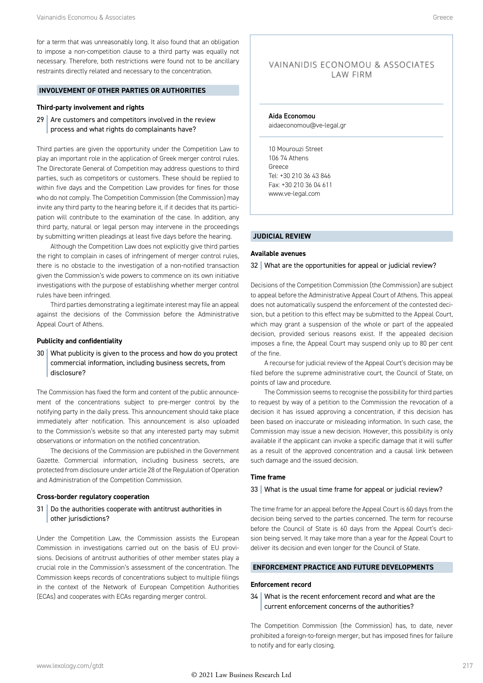for a term that was unreasonably long. It also found that an obligation to impose a non-competition clause to a third party was equally not necessary. Therefore, both restrictions were found not to be ancillary restraints directly related and necessary to the concentration.

#### **INVOLVEMENT OF OTHER PARTIES OR AUTHORITIES**

#### **Third-party involvement and rights**

 $29$  Are customers and competitors involved in the review process and what rights do complainants have?

Third parties are given the opportunity under the Competition Law to play an important role in the application of Greek merger control rules. The Directorate General of Competition may address questions to third parties, such as competitors or customers. These should be replied to within five days and the Competition Law provides for fines for those who do not comply. The Competition Commission (the Commission) may invite any third party to the hearing before it, if it decides that its participation will contribute to the examination of the case. In addition, any third party, natural or legal person may intervene in the proceedings by submitting written pleadings at least five days before the hearing.

Although the Competition Law does not explicitly give third parties the right to complain in cases of infringement of merger control rules, there is no obstacle to the investigation of a non-notified transaction given the Commission's wide powers to commence on its own initiative investigations with the purpose of establishing whether merger control rules have been infringed.

Third parties demonstrating a legitimate interest may file an appeal against the decisions of the Commission before the Administrative Appeal Court of Athens.

#### **Publicity and confidentiality**

30 What publicity is given to the process and how do you protect commercial information, including business secrets, from disclosure?

The Commission has fixed the form and content of the public announcement of the concentrations subject to pre-merger control by the notifying party in the daily press. This announcement should take place immediately after notification. This announcement is also uploaded to the Commission's website so that any interested party may submit observations or information on the notified concentration.

The decisions of the Commission are published in the Government Gazette. Commercial information, including business secrets, are protected from disclosure under article 28 of the Regulation of Operation and Administration of the Competition Commission.

#### **Cross-border regulatory cooperation**

31 | Do the authorities cooperate with antitrust authorities in other jurisdictions?

Under the Competition Law, the Commission assists the European Commission in investigations carried out on the basis of EU provisions. Decisions of antitrust authorities of other member states play a crucial role in the Commission's assessment of the concentration. The Commission keeps records of concentrations subject to multiple filings in the context of the Network of European Competition Authorities (ECAs) and cooperates with ECAs regarding merger control.

#### VAINANIDIS ECONOMOU & ASSOCIATES LAW FIRM

Aida Economou aidaeconomou@ve-legal.gr

10 Mourouzi Street 106 74 Athens Greece Tel: +30 210 36 43 846 Fax: +30 210 36 04 611 www.ve-legal.com

#### **JUDICIAL REVIEW**

#### **Available avenues**

#### 32 What are the opportunities for appeal or judicial review?

Decisions of the Competition Commission (the Commission) are subject to appeal before the Administrative Appeal Court of Athens. This appeal does not automatically suspend the enforcement of the contested decision, but a petition to this effect may be submitted to the Appeal Court, which may grant a suspension of the whole or part of the appealed decision, provided serious reasons exist. If the appealed decision imposes a fine, the Appeal Court may suspend only up to 80 per cent of the fine.

A recourse for judicial review of the Appeal Court's decision may be filed before the supreme administrative court, the Council of State, on points of law and procedure.

The Commission seems to recognise the possibility for third parties to request by way of a petition to the Commission the revocation of a decision it has issued approving a concentration, if this decision has been based on inaccurate or misleading information. In such case, the Commission may issue a new decision. However, this possibility is only available if the applicant can invoke a specific damage that it will suffer as a result of the approved concentration and a causal link between such damage and the issued decision.

#### **Time frame**

#### 33 What is the usual time frame for appeal or judicial review?

The time frame for an appeal before the Appeal Court is 60 days from the decision being served to the parties concerned. The term for recourse before the Council of State is 60 days from the Appeal Court's decision being served. It may take more than a year for the Appeal Court to deliver its decision and even longer for the Council of State.

#### **ENFORCEMENT PRACTICE AND FUTURE DEVELOPMENTS**

#### **Enforcement record**

34 What is the recent enforcement record and what are the current enforcement concerns of the authorities?

The Competition Commission (the Commission) has, to date, never prohibited a foreign-to-foreign merger, but has imposed fines for failure to notify and for early closing.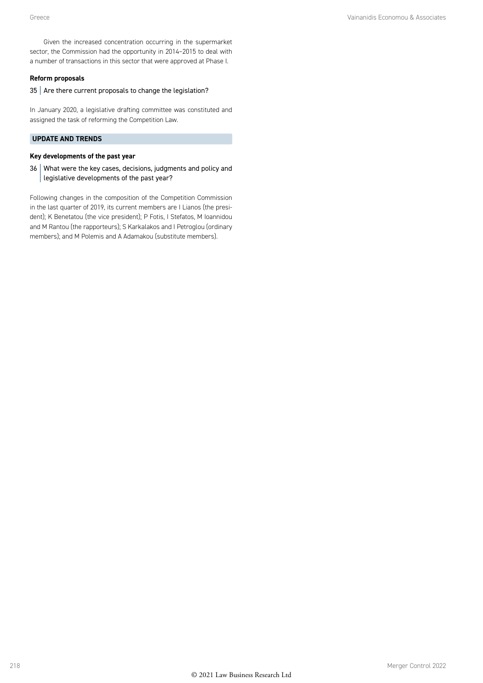Given the increased concentration occurring in the supermarket sector, the Commission had the opportunity in 2014–2015 to deal with a number of transactions in this sector that were approved at Phase I.

#### **Reform proposals**

#### 35 Are there current proposals to change the legislation?

In January 2020, a legislative drafting committee was constituted and assigned the task of reforming the Competition Law.

#### **UPDATE AND TRENDS**

#### **Key developments of the past year**

36 What were the key cases, decisions, judgments and policy and legislative developments of the past year?

Following changes in the composition of the Competition Commission in the last quarter of 2019, its current members are I Lianos (the president); K Benetatou (the vice president); P Fotis, I Stefatos, M Ioannidou and M Rantou (the rapporteurs); S Karkalakos and I Petroglou (ordinary members); and M Polemis and A Adamakou (substitute members).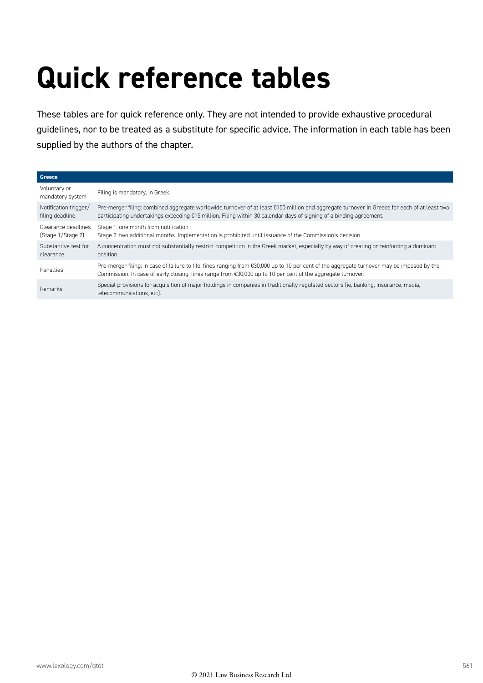## **Quick reference tables**

These tables are for quick reference only. They are not intended to provide exhaustive procedural guidelines, nor to be treated as a substitute for specific advice. The information in each table has been supplied by the authors of the chapter.

| Greece                                   |                                                                                                                                                                                                                                                                                 |
|------------------------------------------|---------------------------------------------------------------------------------------------------------------------------------------------------------------------------------------------------------------------------------------------------------------------------------|
| Voluntary or<br>mandatory system         | Filing is mandatory, in Greek.                                                                                                                                                                                                                                                  |
| Notification trigger/<br>filing deadline | Pre-merger filing: combined aggregate worldwide turnover of at least €150 million and aggregate turnover in Greece for each of at least two<br>participating undertakings exceeding €15 million. Filing within 30 calendar days of signing of a binding agreement.              |
| Clearance deadlines<br>(Stage 1/Stage 2) | Stage 1: one month from notification.<br>Stage 2: two additional months. Implementation is prohibited until issuance of the Commission's decision.                                                                                                                              |
| Substantive test for<br>clearance        | A concentration must not substantially restrict competition in the Greek market, especially by way of creating or reinforcing a dominant<br>position.                                                                                                                           |
| Penalties                                | Pre-merger filing: in case of failure to file, fines ranging from €30,000 up to 10 per cent of the aggregate turnover may be imposed by the<br>Commission. In case of early closing, fines range from $\text{\textsterling}30,000$ up to 10 per cent of the aggregate turnover. |
| Remarks                                  | Special provisions for acquisition of major holdings in companies in traditionally regulated sectors (ie, banking, insurance, media,<br>telecommunications, etc).                                                                                                               |